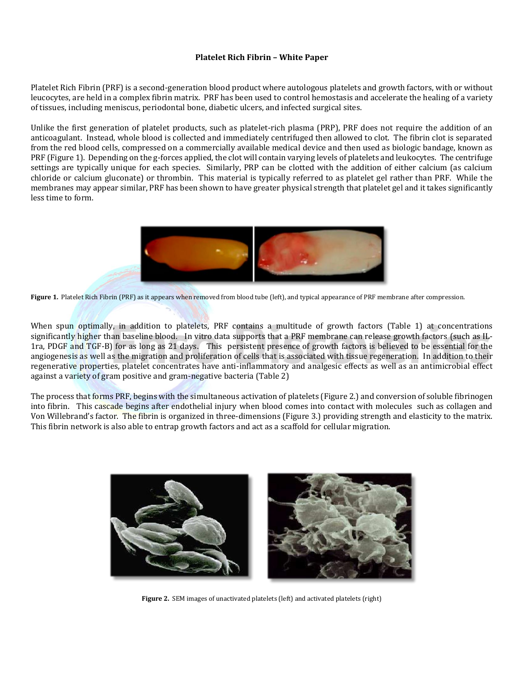## **Platelet Rich Fibrin – White Paper**

Platelet Rich Fibrin (PRF) is a second-generation blood product where autologous platelets and growth factors, with or without leucocytes, are held in a complex fibrin matrix. PRF has been used to control hemostasis and accelerate the healing of a variety of tissues, including meniscus, periodontal bone, diabetic ulcers, and infected surgical sites.

Unlike the first generation of platelet products, such as platelet-rich plasma (PRP), PRF does not require the addition of an anticoagulant. Instead, whole blood is collected and immediately centrifuged then allowed to clot. The fibrin clot is separated from the red blood cells, compressed on a commercially available medical device and then used as biologic bandage, known as PRF (Figure 1). Depending on the g-forces applied, the clot will contain varying levels of platelets and leukocytes. The centrifuge settings are typically unique for each species. Similarly, PRP can be clotted with the addition of either calcium (as calcium chloride or calcium gluconate) or thrombin. This material is typically referred to as platelet gel rather than PRF. While the membranes may appear similar, PRF has been shown to have greater physical strength that platelet gel and it takes significantly less time to form.



Figure 1. Platelet Rich Fibrin (PRF) as it appears when removed from blood tube (left), and typical appearance of PRF membrane after compression.

When spun optimally, in addition to platelets, PRF contains a multitude of growth factors (Table 1) at concentrations significantly higher than baseline blood. In vitro data supports that a PRF membrane can release growth factors (such as IL-1ra, PDGF and TGF-B) for as long as 21 days. This persistent presence of growth factors is believed to be essential for the angiogenesis as well as the migration and proliferation of cells that is associated with tissue regeneration. In addition to their regenerative properties, platelet concentrates have anti-inflammatory and analgesic effects as well as an antimicrobial effect against a variety of gram positive and gram-negative bacteria (Table 2)

The process that forms PRF, begins with the simultaneous activation of platelets (Figure 2.) and conversion of soluble fibrinogen into fibrin. This cascade begins after endothelial injury when blood comes into contact with molecules such as collagen and Von Willebrand's factor. The fibrin is organized in three-dimensions (Figure 3.) providing strength and elasticity to the matrix. This fibrin network is also able to entrap growth factors and act as a scaffold for cellular migration.



**Figure 2.** SEM images of unactivated platelets (left) and activated platelets (right)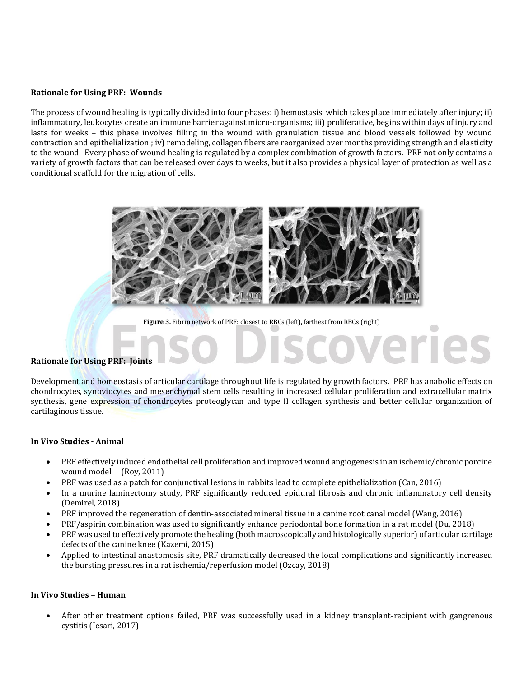### **Rationale for Using PRF: Wounds**

The process of wound healing is typically divided into four phases: i) hemostasis, which takes place immediately after injury; ii) inflammatory, leukocytes create an immune barrier against micro-organisms; iii) proliferative, begins within days of injury and lasts for weeks – this phase involves filling in the wound with granulation tissue and blood vessels followed by wound contraction and epithelialization ; iv) remodeling, collagen fibers are reorganized over months providing strength and elasticity to the wound. Every phase of wound healing is regulated by a complex combination of growth factors. PRF not only contains a variety of growth factors that can be released over days to weeks, but it also provides a physical layer of protection as well as a conditional scaffold for the migration of cells.



**Figure 3.** Fibrin network of PRF: closest to RBCs (left), farthest from RBCs (right)

 $\subset$ 

## **Rationale for Using PRF: Joints**

Development and homeostasis of articular cartilage throughout life is regulated by growth factors. PRF has anabolic effects on chondrocytes, synoviocytes and mesenchymal stem cells resulting in increased cellular proliferation and extracellular matrix synthesis, gene expression of chondrocytes proteoglycan and type II collagen synthesis and better cellular organization of cartilaginous tissue.

#### **In Vivo Studies - Animal**

- PRF effectively induced endothelial cell proliferation and improved wound angiogenesis in an ischemic/chronic porcine wound model (Roy, 2011)
- PRF was used as a patch for conjunctival lesions in rabbits lead to complete epithelialization (Can, 2016)
- In a murine laminectomy study, PRF significantly reduced epidural fibrosis and chronic inflammatory cell density (Demirel, 2018)
- PRF improved the regeneration of dentin-associated mineral tissue in a canine root canal model (Wang, 2016)
- PRF/aspirin combination was used to significantly enhance periodontal bone formation in a rat model (Du, 2018)
- PRF was used to effectively promote the healing (both macroscopically and histologically superior) of articular cartilage defects of the canine knee (Kazemi, 2015)
- Applied to intestinal anastomosis site, PRF dramatically decreased the local complications and significantly increased the bursting pressures in a rat ischemia/reperfusion model (Ozcay, 2018)

## **In Vivo Studies – Human**

• After other treatment options failed, PRF was successfully used in a kidney transplant-recipient with gangrenous cystitis (Iesari, 2017)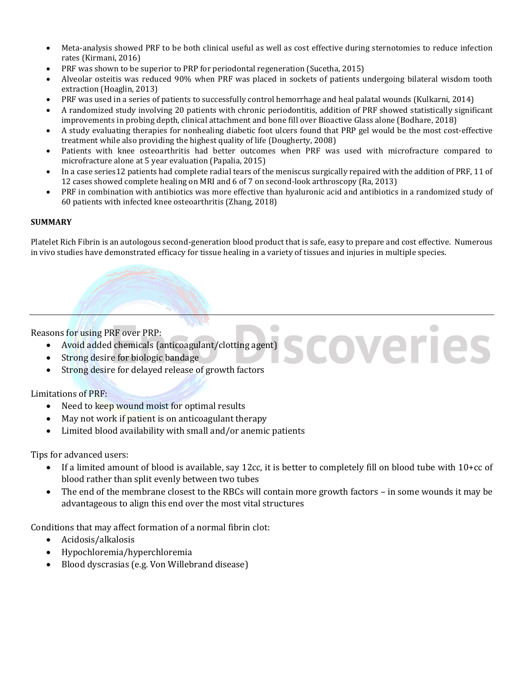- Meta-analysis showed PRF to be both clinical useful as well as cost effective during sternotomies to reduce infection rates (Kirmani, 2016)
- PRF was shown to be superior to PRP for periodontal regeneration (Sucetha, 2015)
- Alveolar osteitis was reduced 90% when PRF was placed in sockets of patients undergoing bilateral wisdom tooth extraction (Hoaglin, 2013)
- PRF was used in a series of patients to successfully control hemorrhage and heal palatal wounds (Kulkarni, 2014)
- A randomized study involving 20 patients with chronic periodontitis, addition of PRF showed statistically significant improvements in probing depth, clinical attachment and bone fill over Bioactive Glass alone (Bodhare, 2018)
- A study evaluating therapies for nonhealing diabetic foot ulcers found that PRP gel would be the most cost-effective treatment while also providing the highest quality of life (Dougherty, 2008)
- Patients with knee osteoarthritis had better outcomes when PRF was used with microfracture compared to microfracture alone at 5 year evaluation (Papalia, 2015)
- In a case series12 patients had complete radial tears of the meniscus surgically repaired with the addition of PRF, 11 of 12 cases showed complete healing on MRI and 6 of 7 on second-look arthroscopy (Ra, 2013)
- PRF in combination with antibiotics was more effective than hyaluronic acid and antibiotics in a randomized study of 60 patients with infected knee osteoarthritis (Zhang, 2018)

# **SUMMARY**

Platelet Rich Fibrin is an autologous second-generation blood product that is safe, easy to prepare and cost effective. Numerous in vivo studies have demonstrated efficacy for tissue healing in a variety of tissues and injuries in multiple species.

Reasons for using PRF over PRP:

- Avoid added chemicals (anticoagulant/clotting agent)
- Strong desire for biologic bandage
- Strong desire for delayed release of growth factors

Limitations of PRF:

- Need to keep wound moist for optimal results
- May not work if patient is on anticoagulant therapy
- Limited blood availability with small and/or anemic patients

Tips for advanced users:

• If a limited amount of blood is available, say 12cc, it is better to completely fill on blood tube with 10+cc of blood rather than split evenly between two tubes

overies

• The end of the membrane closest to the RBCs will contain more growth factors – in some wounds it may be advantageous to align this end over the most vital structures

Conditions that may affect formation of a normal fibrin clot:

- Acidosis/alkalosis
- Hypochloremia/hyperchloremia
- Blood dyscrasias (e.g. Von Willebrand disease)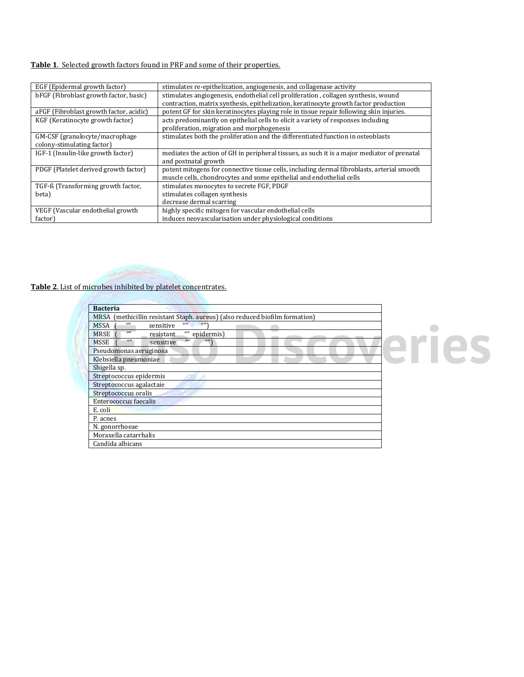# **Table 1**. Selected growth factors found in PRF and some of their properties.

| EGF (Epidermal growth factor)           | stimulates re-epithelization, angiogenesis, and collagenase activity                        |  |
|-----------------------------------------|---------------------------------------------------------------------------------------------|--|
| bFGF (Fibroblast growth factor, basic)  | stimulates angiogenesis, endothelial cell proliferation, collagen synthesis, wound          |  |
|                                         | contraction, matrix synthesis, epithelization, keratinocyte growth factor production        |  |
| aFGF (Fibroblast growth factor, acidic) | potent GF for skin keratinocytes playing role in tissue repair following skin injuries.     |  |
| KGF (Keratinocyte growth factor)        | acts predominantly on epithelial cells to elicit a variety of responses including           |  |
|                                         | proliferation, migration and morphogenesis                                                  |  |
| GM-CSF (granulocyte/macrophage)         | stimulates both the proliferation and the differentiated function in osteoblasts            |  |
| colony-stimulating factor)              |                                                                                             |  |
| IGF-1 (Insulin-like growth factor)      | mediates the action of GH in peripheral tissues, as such it is a major mediator of prenatal |  |
|                                         | and postnatal growth                                                                        |  |
| PDGF (Platelet derived growth factor)   | potent mitogens for connective tissue cells, including dermal fibroblasts, arterial smooth  |  |
|                                         | muscle cells, chondrocytes and some epithelial and endothelial cells                        |  |
| TGF-ß (Transforming growth factor,      | stimulates monocytes to secrete FGF, PDGF                                                   |  |
| beta)                                   | stimulates collagen synthesis                                                               |  |
|                                         | decrease dermal scarring                                                                    |  |
| VEGF (Vascular endothelial growth       | highly specific mitogen for vascular endothelial cells                                      |  |
| factor)                                 | induces neovascularisation under physiological conditions                                   |  |



# **Table 2**. List of microbes inhibited by platelet concentrates.

| <b>Bacteria</b>                      |                                                                             |  |
|--------------------------------------|-----------------------------------------------------------------------------|--|
|                                      | MRSA (methicillin resistant Staph. aureus) (also reduced biofilm formation) |  |
| $\omega$<br><b>MSSA</b><br>sensitive | $\omega$<br>$\omega$                                                        |  |
| $\omega$<br><b>MRSE</b><br>resistant | an<br>epidermis)                                                            |  |
| $\omega$<br><b>MSSE</b><br>sensitive | $\omega$<br>$\omega$                                                        |  |
| Pseudomonas aeruginosa               |                                                                             |  |
| Klebsiella pneumoniae                |                                                                             |  |
| Shigella sp.                         |                                                                             |  |
| Streptococcus epidermis              |                                                                             |  |
| Streptococcus agalactaie             |                                                                             |  |
| Streptococcus oralis                 |                                                                             |  |
| Enterococcus faecalis                |                                                                             |  |
| E. coli                              |                                                                             |  |
| P. acnes                             |                                                                             |  |
| N. gonorrhoeae                       |                                                                             |  |
| Moraxella catarrhalis                |                                                                             |  |
| Candida albicans                     |                                                                             |  |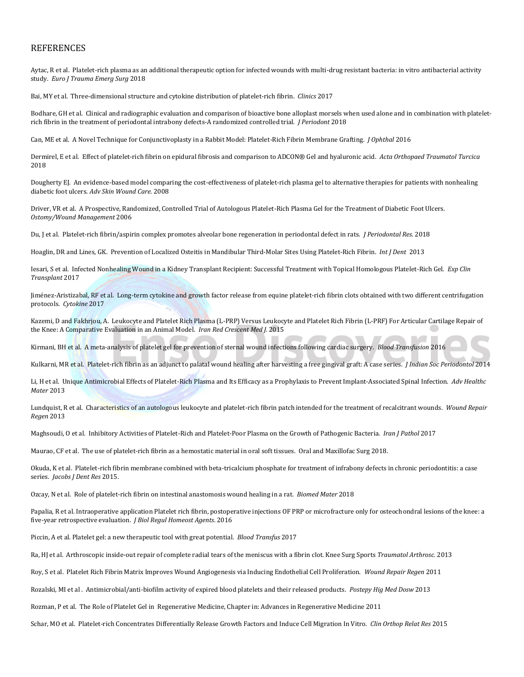#### REFERENCES

Aytac, R et al. Platelet-rich plasma as an additional therapeutic option for infected wounds with multi-drug resistant bacteria: in vitro antibacterial activity study. *Euro J Trauma Emerg Surg* 2018

Bai, MY et al. Three-dimensional structure and cytokine distribution of platelet-rich fibrin. *Clinics* 2017

Bodhare, GH et al. Clinical and radiographic evaluation and comparison of bioactive bone alloplast morsels when used alone and in combination with plateletrich fibrin in the treatment of periodontal intrabony defects-A randomized controlled trial. *J Periodont* 2018

Can, ME et al. A Novel Technique for Conjunctivoplasty in a Rabbit Model: Platelet-Rich Fibrin Membrane Grafting. *J Ophthal* 2016

Dermirel, E et al. Effect of platelet-rich fibrin on epidural fibrosis and comparison to ADCON® Gel and hyaluronic acid. *Acta Orthopaed Traumatol Turcica* 2018

Dougherty EJ. An evidence-based model comparing the cost-effectiveness of platelet-rich plasma gel to alternative therapies for patients with nonhealing diabetic foot ulcers. *Adv Skin Wound Care*. 2008

Driver, VR et al. A Prospective, Randomized, Controlled Trial of Autologous Platelet-Rich Plasma Gel for the Treatment of Diabetic Foot Ulcers. *Ostomy/Wound Management* 2006

Du, J et al. Platelet-rich fibrin/aspirin complex promotes alveolar bone regeneration in periodontal defect in rats. *J Periodontal Res.* 2018

Hoaglin, DR and Lines, GK. Prevention of Localized Osteitis in Mandibular Third-Molar Sites Using Platelet-Rich Fibrin. *Int J Dent* 2013

Iesari, S et al. Infected Nonhealing Wound in a Kidney Transplant Recipient: Successful Treatment with Topical Homologous Platelet-Rich Gel. *Exp Clin Transplant* 2017

Jiménez-Aristizabal, RF et al. Long-term cytokine and growth factor release from equine platelet-rich fibrin clots obtained with two different centrifugation protocols. *Cytokine* 2017

Kazemi, D and Fakhrjou, A. Leukocyte and Platelet Rich Plasma (L-PRP) Versus Leukocyte and Platelet Rich Fibrin (L-PRF) For Articular Cartilage Repair of the Knee: A Comparative Evaluation in an Animal Model. *Iran Red Crescent Med J.* 2015

Kirmani, BH et al. A meta-analysis of platelet gel for prevention of sternal wound infections following cardiac surgery. *Blood Transfusion* 2016

Kulkarni, MR et al. Platelet-rich fibrin as an adjunct to palatal wound healing after harvesting a free gingival graft: A case series. *J Indian Soc Periodontol* 2014

Li, H et al. Unique Antimicrobial Effects of Platelet-Rich Plasma and Its Efficacy as a Prophylaxis to Prevent Implant-Associated Spinal Infection. *Adv Healthc Mater* 2013

Lundquist, R et al. Characteristics of an autologous leukocyte and platelet-rich fibrin patch intended for the treatment of recalcitrant wounds. *Wound Repair Regen* 2013

Maghsoudi, O et al. Inhibitory Activities of Platelet-Rich and Platelet-Poor Plasma on the Growth of Pathogenic Bacteria. *Iran J Pathol* 2017

Maurao, CF et al. The use of platelet-rich fibrin as a hemostatic material in oral soft tissues. Oral and Maxillofac Surg 2018.

Okuda, K et al. Platelet-rich fibrin membrane combined with beta-tricalcium phosphate for treatment of infrabony defects in chronic periodontitis: a case series. *Jacobs J Dent Res* 2015.

Ozcay, N et al. Role of platelet-rich fibrin on intestinal anastomosis wound healing in a rat. *Biomed Mater* 2018

Papalia, R et al. Intraoperative application Platelet rich fibrin, postoperative injections OF PRP or microfracture only for osteochondral lesions of the knee: a five-year retrospective evaluation. *J Biol Regul Homeost Agents*. 2016

Piccin, A et al. Platelet gel: a new therapeutic tool with great potential. *Blood Transfus* 2017

Ra, HJ et al. Arthroscopic inside-out repair of complete radial tears of the meniscus with a fibrin clot. Knee Surg Sports *Traumatol Arthrosc.* 2013

Roy, S et al. Platelet Rich Fibrin Matrix Improves Wound Angiogenesis via Inducing Endothelial Cell Proliferation. *Wound Repair Regen* 2011

Rozalski, MI et al . Antimicrobial/anti-biofilm activity of expired blood platelets and their released products. *Postepy Hig Med Dosw* 2013

Rozman, P et al. The Role of Platelet Gel in Regenerative Medicine, Chapter in: Advances in Regenerative Medicine 2011

Schar, MO et al. Platelet-rich Concentrates Differentially Release Growth Factors and Induce Cell Migration In Vitro. *Clin Orthop Relat Res* 2015